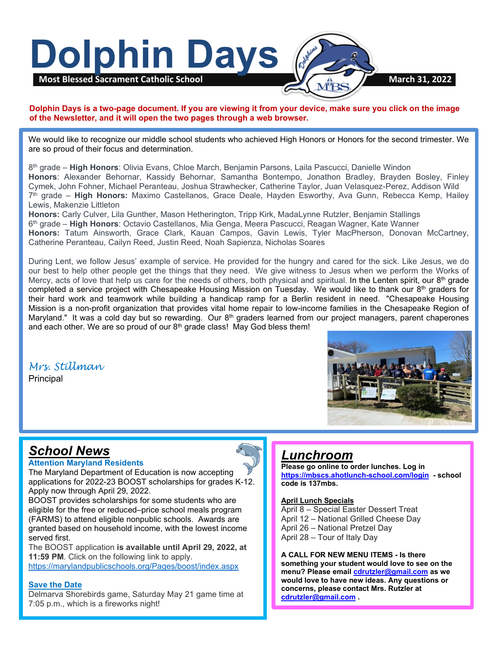

#### **Dolphin Days is a two-page document. If you are viewing it from your device, make sure you click on the image of the Newsletter, and it will open the two pages through a web browser.**

We would like to recognize our middle school students who achieved High Honors or Honors for the second trimester. We are so proud of their focus and determination.

8th grade – **High Honors**: Olivia Evans, Chloe March, Benjamin Parsons, Laila Pascucci, Danielle Windon **Honors**: Alexander Behornar, Kassidy Behornar, Samantha Bontempo, Jonathon Bradley, Brayden Bosley, Finley Cymek, John Fohner, Michael Peranteau, Joshua Strawhecker, Catherine Taylor, Juan Velasquez-Perez, Addison Wild 7th grade – **High Honors:** Maximo Castellanos, Grace Deale, Hayden Esworthy, Ava Gunn, Rebecca Kemp, Hailey Lewis, Makenzie Littleton

**Honors:** Carly Culver, Lila Gunther, Mason Hetherington, Tripp Kirk, MadaLynne Rutzler, Benjamin Stallings 6th grade – **High Honors**: Octavio Castellanos, Mia Genga, Meera Pascucci, Reagan Wagner, Kate Wanner **Honors:** Tatum Ainsworth, Grace Clark, Kauan Campos, Gavin Lewis, Tyler MacPherson, Donovan McCartney, Catherine Peranteau, Cailyn Reed, Justin Reed, Noah Sapienza, Nicholas Soares

Maryland." It was a cold day but so rewarding. Our 8<sup>th</sup> graders learned from our project managers, parent chaperones During Lent, we follow Jesus' example of service. He provided for the hungry and cared for the sick. Like Jesus, we do our best to help other people get the things that they need. We give witness to Jesus when we perform the Works of Mercy, acts of love that help us care for the needs of others, both physical and spiritual. In the Lenten spirit, our  $8<sup>th</sup>$  grade completed a service project with Chesapeake Housing Mission on Tuesday. We would like to thank our 8th graders for their hard work and teamwork while building a handicap ramp for a Berlin resident in need. "Chesapeake Housing Mission is a non-profit organization that provides vital home repair to low-income families in the Chesapeake Region of and each other. We are so proud of our  $8<sup>th</sup>$  grade class! May God bless them!

# *Mrs. Stillman*

Principal



# *School News*

#### **Attention Maryland Residents**

The Maryland Department of Education is now accepting applications for 2022-23 BOOST scholarships for grades K-12. Apply now through April 29, 2022.

BOOST provides scholarships for some students who are eligible for the free or reduced–price school meals program (FARMS) to attend eligible nonpublic schools. Awards are granted based on household income, with the lowest income served first.

The BOOST application **is available until April 29, 2022, at 11:59 PM**. Click on the following link to apply. <https://marylandpublicschools.org/Pages/boost/index.aspx>

#### **Save the Date**

Delmarva Shorebirds game, Saturday May 21 game time at 7:05 p.m., which is a fireworks night!

# *Lunchroom*

**Please go online to order lunches. Log in <https://mbscs.ahotlunch-school.com/login>- school code is 137mbs.**

#### **April Lunch Specials**

April 8 – Special Easter Dessert Treat April 12 – National Grilled Cheese Day April 26 – National Pretzel Day April 28 – Tour of Italy Day

**A CALL FOR NEW MENU ITEMS - Is there something your student would love to see on the menu? Please email [cdrutzler@gmail.com](mailto:cdrutzler@gmail.com) as we would love to have new ideas. Any questions or concerns, please contact Mrs. Rutzler at [cdrutzler@gmail.com](mailto:cdrutzler@gmail.com) .**